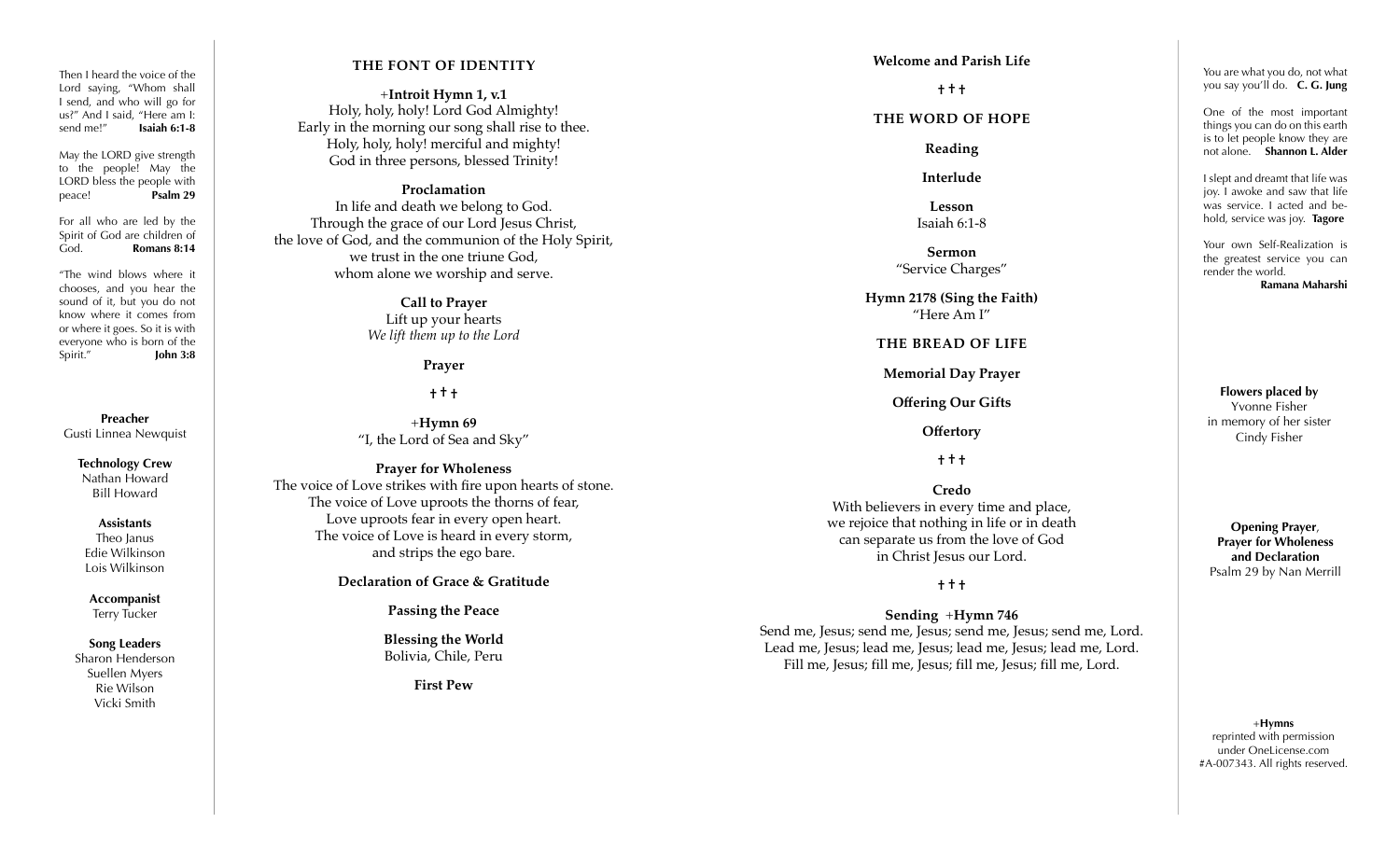Then I heard the voice of the Lord saying, "Whom shall I send, and who will go for us?" And I said, "Here am I: send me!" **Isaiah 6:1-8**

May the LORD give strength to the people! May the LORD bless the people with peace! **Psalm 29**

For all who are led by the Spirit of God are children of God. **Romans 8:14**

"The wind blows where it chooses, and you hear the sound of it, but you do not know where it comes from or where it goes. So it is with everyone who is born of the Spirit." **John 3:8**

**Preacher** Gusti Linnea Newquist

> **Technology Crew** Nathan Howard Bill Howard

**Assistants** Theo Janus Edie Wilkinson Lois Wilkinson

**Accompanist** Terry Tucker

**Song Leaders** Sharon Henderson Suellen Myers Rie Wilson Vicki Smith

### **THE FONT OF IDENTITY**

+**Introit Hymn 1, v.1** Holy, holy, holy! Lord God Almighty! Early in the morning our song shall rise to thee. Holy, holy, holy! merciful and mighty! God in three persons, blessed Trinity!

### **Proclamation**

In life and death we belong to God. Through the grace of our Lord Jesus Christ, the love of God, and the communion of the Holy Spirit, we trust in the one triune God, whom alone we worship and serve.

> **Call to Prayer** Lift up your hearts *We lift them up to the Lord*

#### **Prayer**

**† † †**

+**Hymn 69** "I, the Lord of Sea and Sky"

#### **Prayer for Wholeness**

The voice of Love strikes with fire upon hearts of stone. The voice of Love uproots the thorns of fear, Love uproots fear in every open heart. The voice of Love is heard in every storm, and strips the ego bare.

**Declaration of Grace & Gratitude**

**Passing the Peace** 

**Blessing the World** Bolivia, Chile, Peru

**First Pew**

#### **Welcome and Parish Life**

**† † †** 

### **THE WORD OF HOPE**

**Reading**

**Interlude** 

**Lesson** Isaiah 6:1-8

**Sermon** "Service Charges"

**Hymn 2178 (Sing the Faith)** "Here Am I"

#### **THE BREAD OF LIFE**

**Memorial Day Prayer** 

**Offering Our Gifts**

**Offertory**

**† † †**

**Credo** With believers in every time and place, we rejoice that nothing in life or in death can separate us from the love of God in Christ Jesus our Lord.

**† † †**

### **Sending**  +**Hymn 746**

Send me, Jesus; send me, Jesus; send me, Jesus; send me, Lord. Lead me, Jesus; lead me, Jesus; lead me, Jesus; lead me, Lord. Fill me, Jesus; fill me, Jesus; fill me, Jesus; fill me, Lord.

You are what you do, not what you say you'll do. **C. G. Jung**

One of the most important things you can do on this earth is to let people know they are not alone. **Shannon L. Alder**

I slept and dreamt that life was joy. I awoke and saw that life was service. I acted and be hold, service was joy. **Tagore**

Your own Self-Realization is the greatest service you can render the world. **Ramana Maharshi**

**Flowers placed by** Yvonne Fisher in memory of her sister Cindy Fisher

**Opening Prayer**, **Prayer for Wholeness and Declaration** Psalm 29 by Nan Merrill

+**Hymns** reprinted with permission under OneLicense.com #A-007343. All rights reserved.